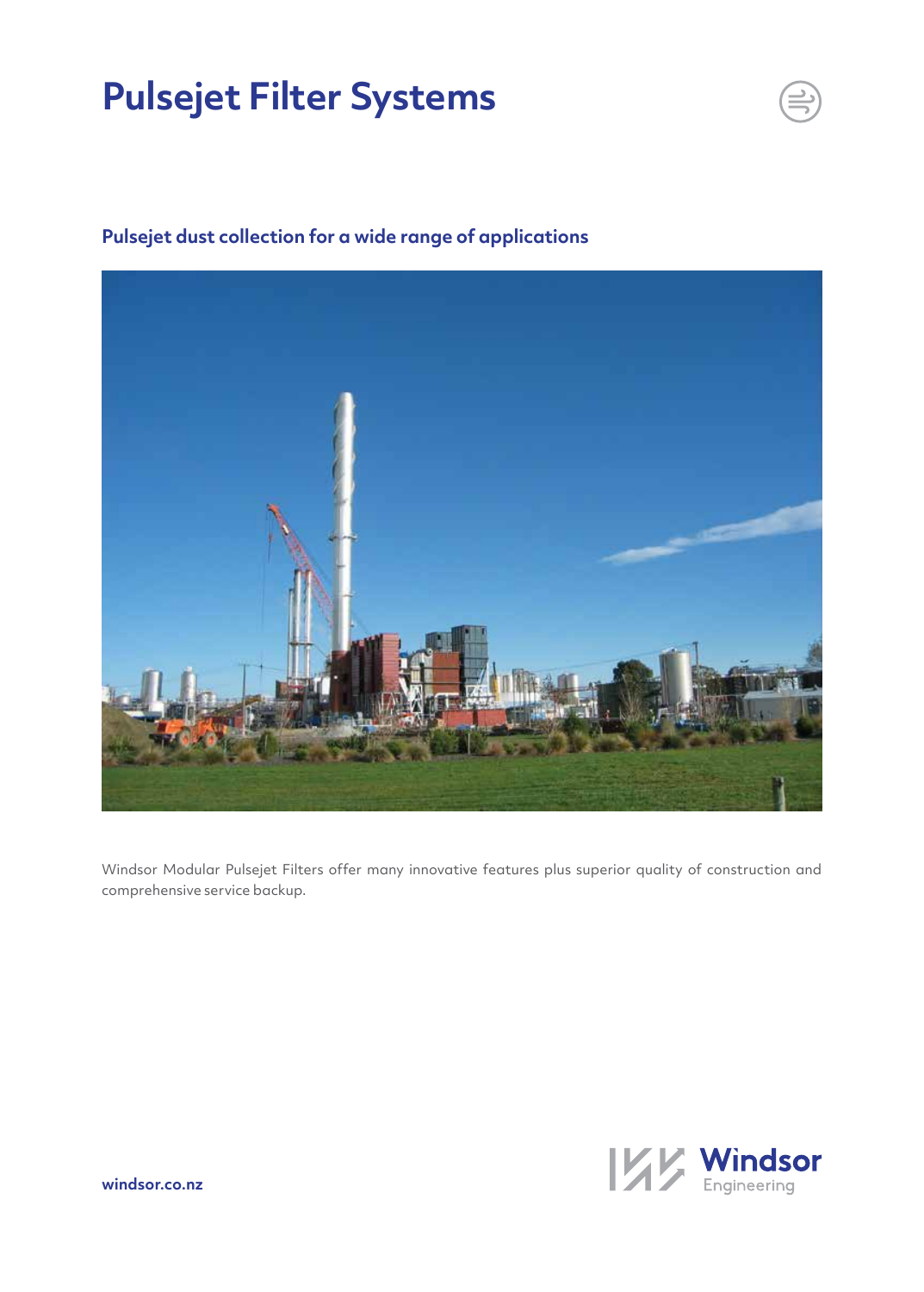# **Pulsejet Filter Systems**



## **Pulsejet dust collection for a wide range of applications**

Windsor Modular Pulsejet Filters offer many innovative features plus superior quality of construction and comprehensive service backup.

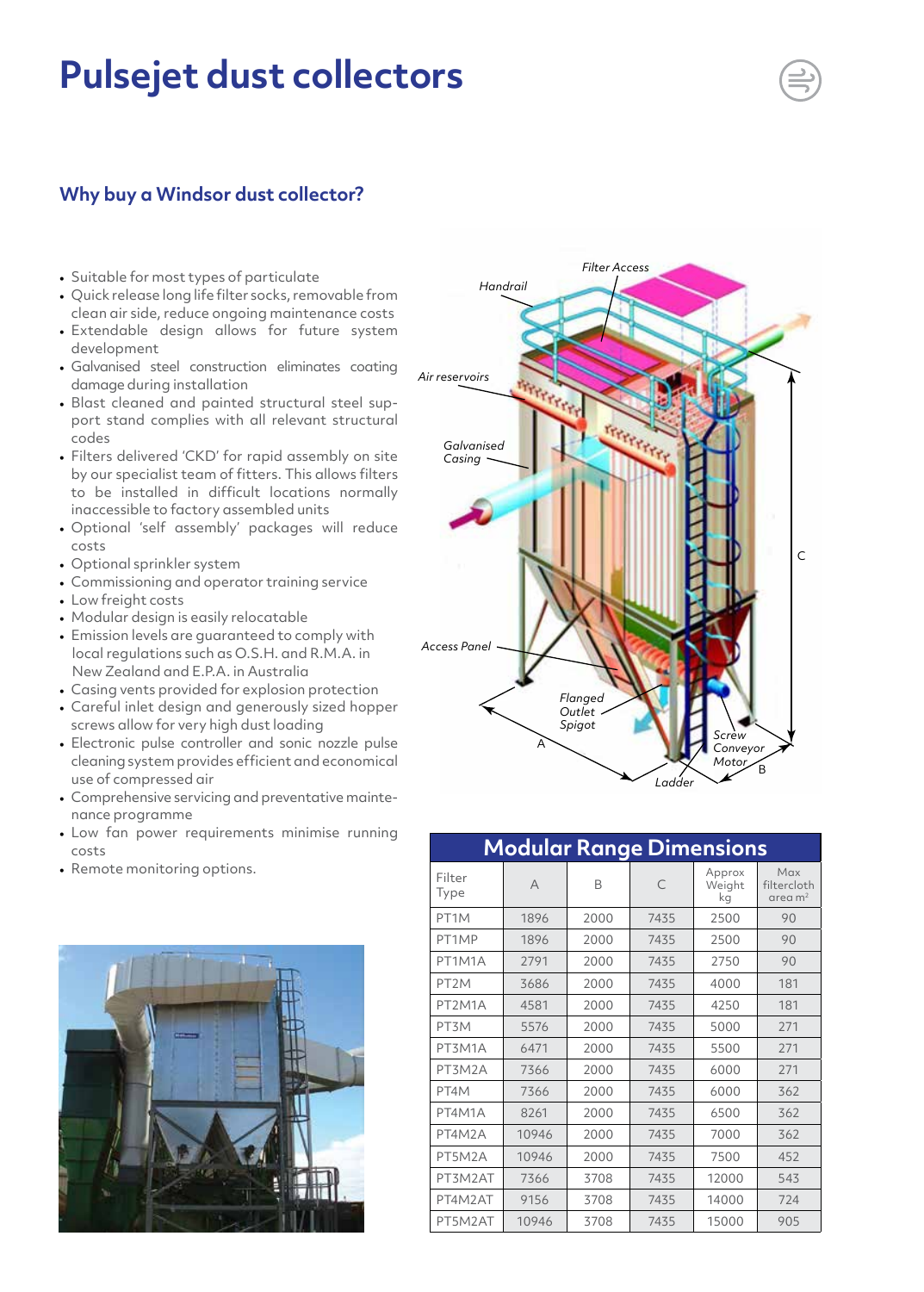# **Pulsejet dust collectors**

### **Why buy a Windsor dust collector?**

- Suitable for most types of particulate
- Quick release long life filter socks, removable from clean air side, reduce ongoing maintenance costs
- Extendable design allows for future system development
- Galvanised steel construction eliminates coating damage during installation
- Blast cleaned and painted structural steel support stand complies with all relevant structural codes
- Filters delivered 'CKD' for rapid assembly on site by our specialist team of fitters. This allows filters to be installed in difficult locations normally inaccessible to factory assembled units
- Optional 'self assembly' packages will reduce costs
- Optional sprinkler system
- Commissioning and operator training service
- Low freight costs
- Modular design is easily relocatable
- Emission levels are guaranteed to comply with local regulations such as O.S.H. and R.M.A. in New Zealand and E.P.A. in Australia
- Casing vents provided for explosion protection
- Careful inlet design and generously sized hopper screws allow for very high dust loading
- Electronic pulse controller and sonic nozzle pulse cleaning system provides efficient and economical use of compressed air
- Comprehensive servicing and preventative maintenance programme
- Low fan power requirements minimise running costs
- Remote monitoring options.





### **Modular Range Dimensions**

| Filter<br>Type    | A     | B    | C    | Approx<br>Weight<br>kg | Max<br>filtercloth<br>area m <sup>2</sup> |
|-------------------|-------|------|------|------------------------|-------------------------------------------|
| PT <sub>1</sub> M | 1896  | 2000 | 7435 | 2500                   | 90                                        |
| PT1MP             | 1896  | 2000 | 7435 | 2500                   | 90                                        |
| PT1M1A            | 2791  | 2000 | 7435 | 2750                   | 90                                        |
| PT <sub>2</sub> M | 3686  | 2000 | 7435 | 4000                   | 181                                       |
| PT2M1A            | 4581  | 2000 | 7435 | 4250                   | 181                                       |
| PT3M              | 5576  | 2000 | 7435 | 5000                   | 271                                       |
| PT3M1A            | 6471  | 2000 | 7435 | 5500                   | 271                                       |
| PT3M2A            | 7366  | 2000 | 7435 | 6000                   | 271                                       |
| PT4M              | 7366  | 2000 | 7435 | 6000                   | 362                                       |
| PT4M1A            | 8261  | 2000 | 7435 | 6500                   | 362                                       |
| PT4M2A            | 10946 | 2000 | 7435 | 7000                   | 362                                       |
| PT5M2A            | 10946 | 2000 | 7435 | 7500                   | 452                                       |
| PT3M2AT           | 7366  | 3708 | 7435 | 12000                  | 543                                       |
| PT4M2AT           | 9156  | 3708 | 7435 | 14000                  | 724                                       |
| PT5M2AT           | 10946 | 3708 | 7435 | 15000                  | 905                                       |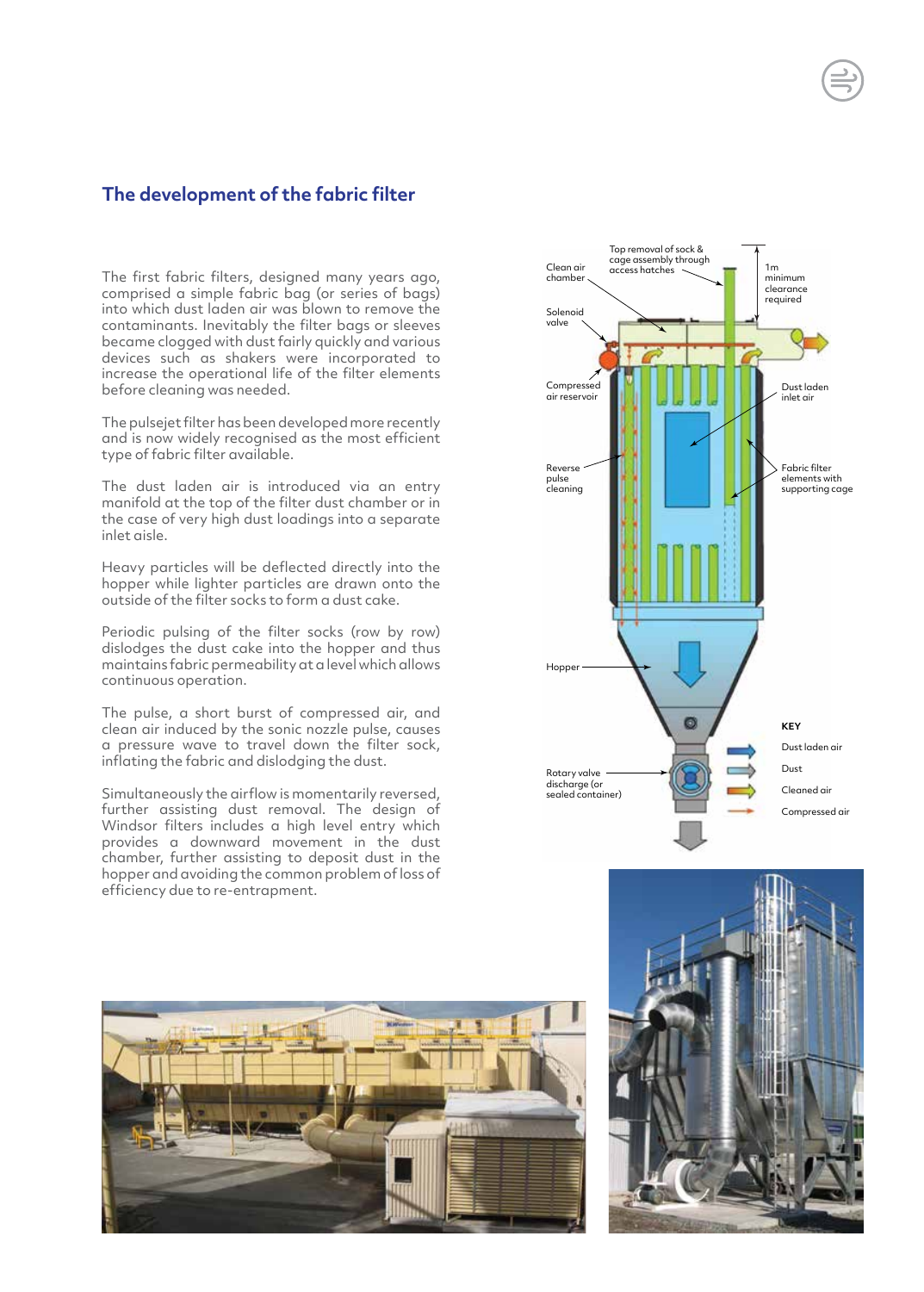### **The development of the fabric filter**

The first fabric filters, designed many years ago, comprised a simple fabric bag (or series of bags) into which dust laden air was blown to remove the contaminants. Inevitably the filter bags or sleeves became clogged with dust fairly quickly and various devices such as shakers were incorporated to increase the operational life of the filter elements before cleaning was needed.

The pulsejet filter has been developed more recently and is now widely recognised as the most efficient type of fabric filter available.

The dust laden air is introduced via an entry manifold at the top of the filter dust chamber or in the case of very high dust loadings into a separate inlet aisle.

Heavy particles will be deflected directly into the hopper while lighter particles are drawn onto the outside of the filter socks to form a dust cake.

Periodic pulsing of the filter socks (row by row) dislodges the dust cake into the hopper and thus maintains fabric permeability at a level which allows continuous operation.

The pulse, a short burst of compressed air, and clean air induced by the sonic nozzle pulse, causes a pressure wave to travel down the filter sock, inflating the fabric and dislodging the dust.

Simultaneously the airflow is momentarily reversed, further assisting dust removal. The design of Windsor filters includes a high level entry which provides a downward movement in the dust chamber, further assisting to deposit dust in the hopper and avoiding the common problem of loss of efficiency due to re-entrapment.